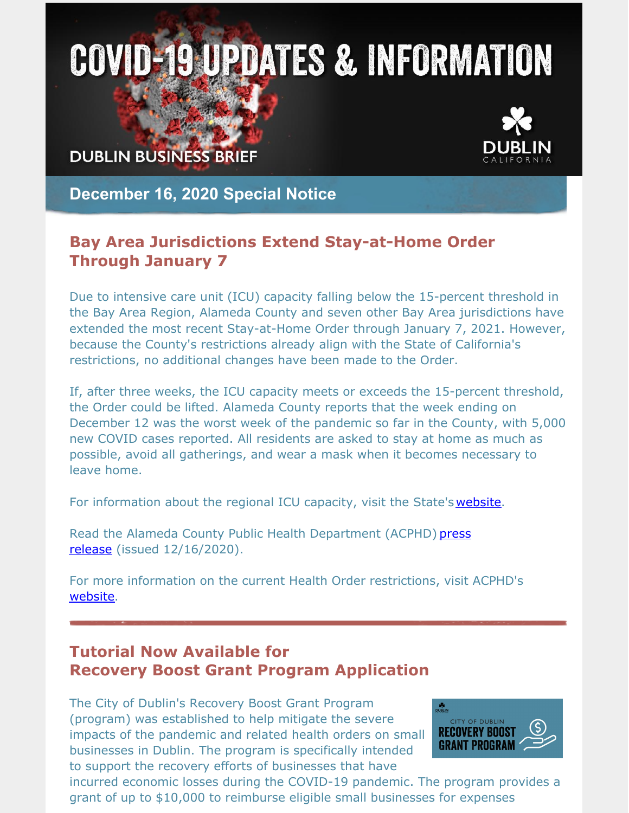# **COVID-19 UPDATES & INFORMATION**

**DUBLIN BUSINESS BRIEF** 



**December 16, 2020 Special Notice**

## **Bay Area Jurisdictions Extend Stay-at-Home Order Through January 7**

Due to intensive care unit (ICU) capacity falling below the 15-percent threshold in the Bay Area Region, Alameda County and seven other Bay Area jurisdictions have extended the most recent Stay-at-Home Order through January 7, 2021. However, because the County's restrictions already align with the State of California's restrictions, no additional changes have been made to the Order.

If, after three weeks, the ICU capacity meets or exceeds the 15-percent threshold, the Order could be lifted. Alameda County reports that the week ending on December 12 was the worst week of the pandemic so far in the County, with 5,000 new COVID cases reported. All residents are asked to stay at home as much as possible, avoid all gatherings, and wear a mask when it becomes necessary to leave home.

For information about the regional ICU capacity, visit the State's [website](https://covid19.ca.gov/stay-home-except-for-essential-needs/#regional-stay-home-order).

Read the Alameda County Public Health Department (ACPHD) press release (issued [12/16/2020\).](https://covid-19.acgov.org/covid19-assets/docs/press/press-release-2020.12.16.pdf)

For more information on the current Health Order restrictions, visit ACPHD's [website](https://covid-19.acgov.org/sip.page).

# **Tutorial Now Available for Recovery Boost Grant Program Application**

The City of Dublin's Recovery Boost Grant Program (program) was established to help mitigate the severe impacts of the pandemic and related health orders on small businesses in Dublin. The program is specifically intended to support the recovery efforts of businesses that have



incurred economic losses during the COVID-19 pandemic. The program provides a grant of up to \$10,000 to reimburse eligible small businesses for expenses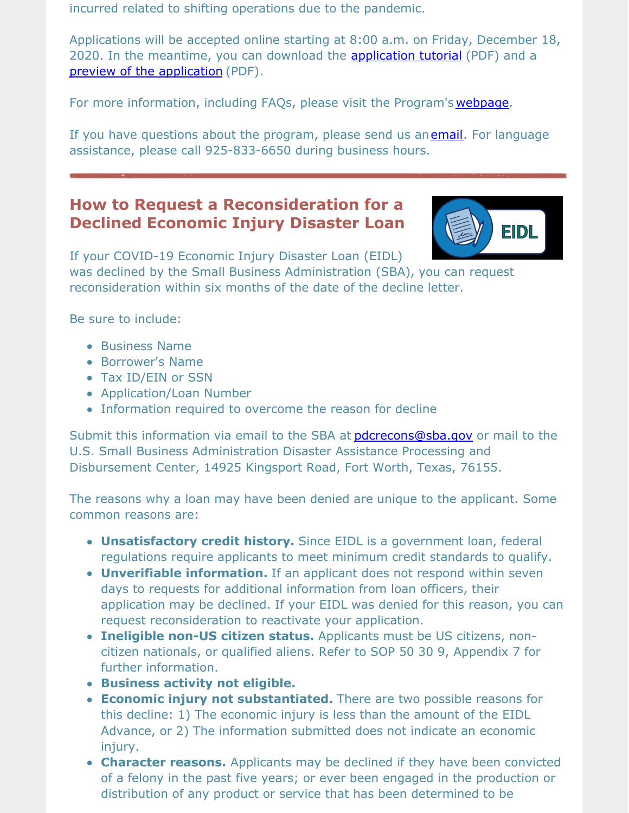incurred related to shifting operations due to the pandemic.

Applications will be accepted online starting at 8:00 a.m. on Friday, December 18, 2020. In the meantime, you can download the **[application](https://dublin.ca.gov/DocumentCenter/View/24634) tutorial** (PDF) and a preview of the [application](https://dublin.ca.gov/DocumentCenter/View/24633) (PDF).

For more information, including FAQs, please visit the Program's [webpage](https://dublin.ca.gov/recoveryboostgrant).

If you have questions about the program, please send us an[email](mailto:economic.development@dublin.ca.gov). For language assistance, please call 925-833-6650 during business hours.

# **How to Request a Reconsideration for a Declined Economic Injury Disaster Loan**



If your COVID-19 Economic Injury Disaster Loan (EIDL) was declined by the Small Business Administration (SBA), you can request reconsideration within six months of the date of the decline letter.

Be sure to include:

- **Business Name**
- Borrower's Name
- Tax ID/EIN or SSN
- Application/Loan Number
- Information required to overcome the reason for decline

Submit this information via email to the SBA at *[pdcrecons@sba.gov](mailto:pdcrecons@sba.gov)* or mail to the U.S. Small Business Administration Disaster Assistance Processing and Disbursement Center, 14925 Kingsport Road, Fort Worth, Texas, 76155.

The reasons why a loan may have been denied are unique to the applicant. Some common reasons are:

- **Unsatisfactory credit history.** Since EIDL is a government loan, federal regulations require applicants to meet minimum credit standards to qualify.
- **Unverifiable information.** If an applicant does not respond within seven days to requests for additional information from loan officers, their application may be declined. If your EIDL was denied for this reason, you can request reconsideration to reactivate your application.
- **Ineligible non-US citizen status.** Applicants must be US citizens, noncitizen nationals, or qualified aliens. Refer to SOP 50 30 9, Appendix 7 for further information.
- **Business activity not eligible.**
- **Economic injury not substantiated.** There are two possible reasons for this decline: 1) The economic injury is less than the amount of the EIDL Advance, or 2) The information submitted does not indicate an economic injury.
- **Character reasons.** Applicants may be declined if they have been convicted of a felony in the past five years; or ever been engaged in the production or distribution of any product or service that has been determined to be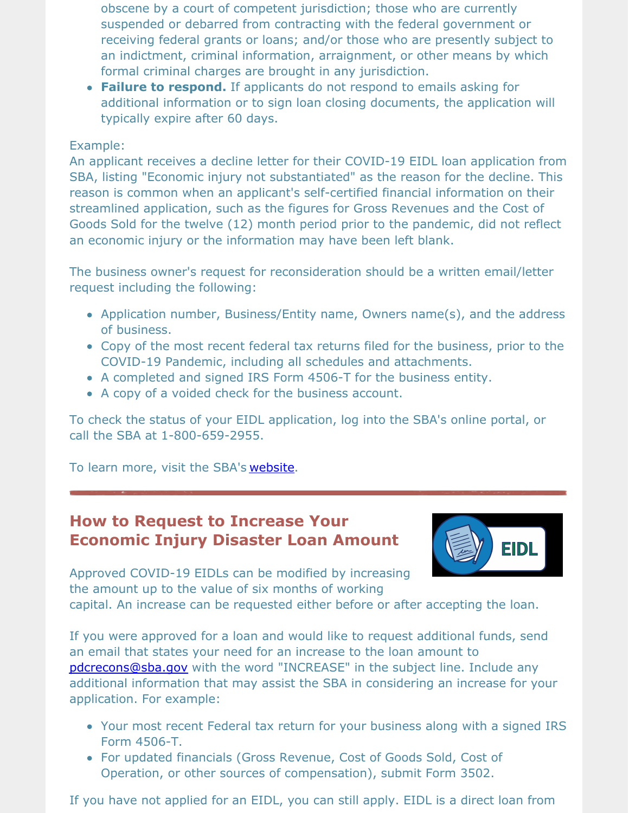obscene by a court of competent jurisdiction; those who are currently suspended or debarred from contracting with the federal government or receiving federal grants or loans; and/or those who are presently subject to an indictment, criminal information, arraignment, or other means by which formal criminal charges are brought in any jurisdiction.

**Failure to respond.** If applicants do not respond to emails asking for additional information or to sign loan closing documents, the application will typically expire after 60 days.

#### Example:

An applicant receives a decline letter for their COVID-19 EIDL loan application from SBA, listing "Economic injury not substantiated" as the reason for the decline. This reason is common when an applicant's self-certified financial information on their streamlined application, such as the figures for Gross Revenues and the Cost of Goods Sold for the twelve (12) month period prior to the pandemic, did not reflect an economic injury or the information may have been left blank.

The business owner's request for reconsideration should be a written email/letter request including the following:

- Application number, Business/Entity name, Owners name(s), and the address of business.
- Copy of the most recent federal tax returns filed for the business, prior to the COVID-19 Pandemic, including all schedules and attachments.
- A completed and signed IRS Form 4506-T for the business entity.
- A copy of a voided check for the business account.

To check the status of your EIDL application, log into the SBA's online portal, or call the SBA at 1-800-659-2955.

To learn more, visit the SBA's [website](https://www.sba.gov/page/coronavirus-covid-19-small-business-guidance-loan-resources#section-header-0).

## **How to Request to Increase Your Economic Injury Disaster Loan Amount**



Approved COVID-19 EIDLs can be modified by increasing the amount up to the value of six months of working capital. An increase can be requested either before or after accepting the loan.

If you were approved for a loan and would like to request additional funds, send an email that states your need for an increase to the loan amount to [pdcrecons@sba.gov](mailto:pdcrecons@sba.gov) with the word "INCREASE" in the subject line. Include any additional information that may assist the SBA in considering an increase for your application. For example:

- Your most recent Federal tax return for your business along with a signed IRS Form 4506-T.
- For updated financials (Gross Revenue, Cost of Goods Sold, Cost of Operation, or other sources of compensation), submit Form 3502.

If you have not applied for an EIDL, you can still apply. EIDL is a direct loan from